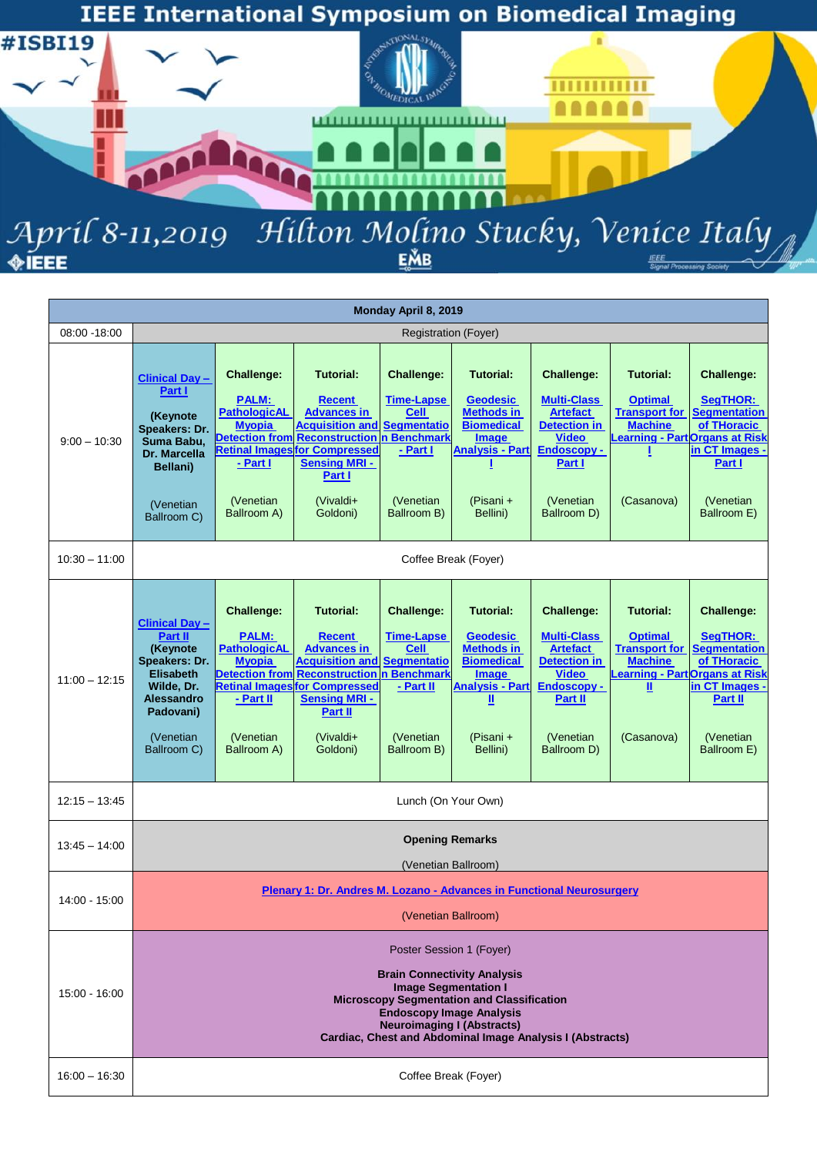

|                 |                                                                                                                                                               |                                                                                                                                                                      |                                                                                                                                                                                                                                           | Monday April 8, 2019                                                                                                            |                                                                                                                                                      |                                                                                                                                                         |                                                                                                                                          |                                                                                                                                           |  |  |
|-----------------|---------------------------------------------------------------------------------------------------------------------------------------------------------------|----------------------------------------------------------------------------------------------------------------------------------------------------------------------|-------------------------------------------------------------------------------------------------------------------------------------------------------------------------------------------------------------------------------------------|---------------------------------------------------------------------------------------------------------------------------------|------------------------------------------------------------------------------------------------------------------------------------------------------|---------------------------------------------------------------------------------------------------------------------------------------------------------|------------------------------------------------------------------------------------------------------------------------------------------|-------------------------------------------------------------------------------------------------------------------------------------------|--|--|
| 08:00 - 18:00   |                                                                                                                                                               |                                                                                                                                                                      |                                                                                                                                                                                                                                           | <b>Registration (Foyer)</b>                                                                                                     |                                                                                                                                                      |                                                                                                                                                         |                                                                                                                                          |                                                                                                                                           |  |  |
| $9:00 - 10:30$  | <b>Clinical Day -</b><br>Part I<br>(Keynote<br>Speakers: Dr.<br>Suma Babu,<br>Dr. Marcella<br>Bellani)<br>(Venetian<br>Ballroom C)                            | <b>Challenge:</b><br><b>PALM:</b><br><b>PathologicAL</b><br><b>Myopia</b><br><b>Detection from</b><br><b>Retinal Images</b><br>- Part I<br>(Venetian)<br>Ballroom A) | <b>Tutorial:</b><br><b>Recent</b><br><b>Advances in</b><br><b>Acquisition and</b><br><b>Reconstruction n Benchmark</b><br>for Compressed<br><b>Sensing MRI -</b><br>Part I<br>(Vivaldi+<br>Goldoni)                                       | <b>Challenge:</b><br><b>Time-Lapse</b><br><b>Cell</b><br><b>Segmentatio</b><br>- Part I<br>(Venetian<br>Ballroom B)             | <b>Tutorial:</b><br><b>Geodesic</b><br><b>Methods in</b><br><b>Biomedical</b><br><b>Image</b><br><b>Analysis - Part</b><br>(Pisani +<br>Bellini)     | <b>Challenge:</b><br><b>Multi-Class</b><br><b>Artefact</b><br>Detection in<br><b>Video</b><br>Endoscopy -<br>Part I<br>(Venetian<br>Ballroom D)         | <b>Tutorial:</b><br><b>Optimal</b><br><b>Machine</b><br>Learning - Part Organs at Risk<br>(Casanova)                                     | <b>Challenge:</b><br>SegTHOR:<br><b>Transport for Seamentation</b><br>of THoracic<br>in CT Images .<br>Part I<br>(Venetian<br>Ballroom E) |  |  |
| $10:30 - 11:00$ | Coffee Break (Foyer)                                                                                                                                          |                                                                                                                                                                      |                                                                                                                                                                                                                                           |                                                                                                                                 |                                                                                                                                                      |                                                                                                                                                         |                                                                                                                                          |                                                                                                                                           |  |  |
| $11:00 - 12:15$ | <b>Clinical Day -</b><br>Part II<br>(Keynote<br>Speakers: Dr.<br><b>Elisabeth</b><br>Wilde, Dr.<br><b>Alessandro</b><br>Padovani)<br>(Venetian<br>Ballroom C) | <b>Challenge:</b><br><b>PALM:</b><br><b>PathologicAL</b><br><b>Myopia</b><br>- Part II<br>(Venetian<br>Ballroom A)                                                   | <b>Tutorial:</b><br><b>Recent</b><br><b>Advances in</b><br><b>Acquisition and</b><br><b>Detection from Reconstruction n Benchmark</b><br><b>Retinal Images for Compressed</b><br><b>Sensing MRI -</b><br>Part II<br>(Vivaldi+<br>Goldoni) | <b>Challenge:</b><br>Time-Lapse<br><b>Cell</b><br><b>Segmentatio</b><br>- Part II<br>(Venetian<br>Ballroom B)                   | <b>Tutorial:</b><br><b>Geodesic</b><br><b>Methods in</b><br><b>Biomedical</b><br>Image<br><b>Analysis - Part</b><br>Щ<br>(Pisani +<br>Bellini)       | <b>Challenge:</b><br><b>Multi-Class</b><br><b>Artefact</b><br><b>Detection in</b><br><b>Video</b><br>Endoscopy -<br>Part II<br>(Venetian<br>Ballroom D) | <b>Tutorial:</b><br><b>Optimal</b><br><b>Transport for</b><br><b>Machine</b><br><b>Learning - Part Organs at Risk</b><br>Ш<br>(Casanova) | <b>Challenge:</b><br><b>SegTHOR:</b><br><b>Segmentation</b><br>of THoracic<br>in CT Images -<br>Part II<br>(Venetian<br>Ballroom E)       |  |  |
| $12:15 - 13:45$ |                                                                                                                                                               |                                                                                                                                                                      |                                                                                                                                                                                                                                           | Lunch (On Your Own)                                                                                                             |                                                                                                                                                      |                                                                                                                                                         |                                                                                                                                          |                                                                                                                                           |  |  |
| $13:45 - 14:00$ |                                                                                                                                                               |                                                                                                                                                                      |                                                                                                                                                                                                                                           | <b>Opening Remarks</b>                                                                                                          |                                                                                                                                                      |                                                                                                                                                         |                                                                                                                                          |                                                                                                                                           |  |  |
| 14:00 - 15:00   |                                                                                                                                                               | (Venetian Ballroom)<br>Plenary 1: Dr. Andres M. Lozano - Advances in Functional Neurosurgery<br>(Venetian Ballroom)                                                  |                                                                                                                                                                                                                                           |                                                                                                                                 |                                                                                                                                                      |                                                                                                                                                         |                                                                                                                                          |                                                                                                                                           |  |  |
| $15:00 - 16:00$ |                                                                                                                                                               |                                                                                                                                                                      |                                                                                                                                                                                                                                           | Poster Session 1 (Foyer)<br><b>Image Segmentation I</b><br><b>Endoscopy Image Analysis</b><br><b>Neuroimaging I (Abstracts)</b> | <b>Brain Connectivity Analysis</b><br><b>Microscopy Segmentation and Classification</b><br>Cardiac, Chest and Abdominal Image Analysis I (Abstracts) |                                                                                                                                                         |                                                                                                                                          |                                                                                                                                           |  |  |
| $16:00 - 16:30$ | Coffee Break (Foyer)                                                                                                                                          |                                                                                                                                                                      |                                                                                                                                                                                                                                           |                                                                                                                                 |                                                                                                                                                      |                                                                                                                                                         |                                                                                                                                          |                                                                                                                                           |  |  |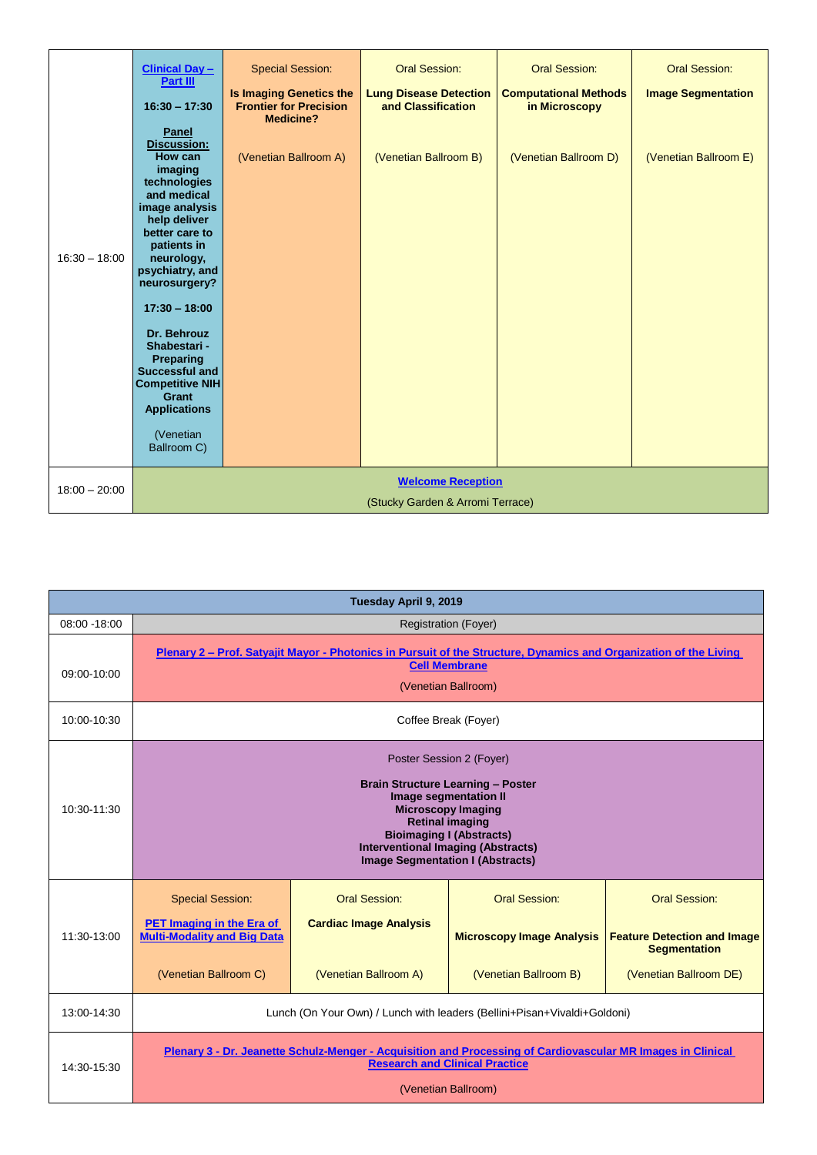|                 | <b>Clinical Day -</b><br>Part III                                                                                                                                                                                                                                                                                                                                                          | <b>Special Session:</b>                                                             | <b>Oral Session:</b>                                | <b>Oral Session:</b>                          | <b>Oral Session:</b>      |  |  |  |  |  |
|-----------------|--------------------------------------------------------------------------------------------------------------------------------------------------------------------------------------------------------------------------------------------------------------------------------------------------------------------------------------------------------------------------------------------|-------------------------------------------------------------------------------------|-----------------------------------------------------|-----------------------------------------------|---------------------------|--|--|--|--|--|
|                 | $16:30 - 17:30$                                                                                                                                                                                                                                                                                                                                                                            | <b>Is Imaging Genetics the</b><br><b>Frontier for Precision</b><br><b>Medicine?</b> | <b>Lung Disease Detection</b><br>and Classification | <b>Computational Methods</b><br>in Microscopy | <b>Image Segmentation</b> |  |  |  |  |  |
| $16:30 - 18:00$ | Panel<br><b>Discussion:</b><br>How can<br>imaging<br>technologies<br>and medical<br>image analysis<br>help deliver<br>better care to<br>patients in<br>neurology,<br>psychiatry, and<br>neurosurgery?<br>$17:30 - 18:00$<br>Dr. Behrouz<br>Shabestari -<br><b>Preparing</b><br><b>Successful and</b><br><b>Competitive NIH</b><br>Grant<br><b>Applications</b><br>(Venetian<br>Ballroom C) | (Venetian Ballroom A)                                                               | (Venetian Ballroom B)                               | (Venetian Ballroom D)                         | (Venetian Ballroom E)     |  |  |  |  |  |
| $18:00 - 20:00$ | <b>Welcome Reception</b><br>(Stucky Garden & Arromi Terrace)                                                                                                                                                                                                                                                                                                                               |                                                                                     |                                                     |                                               |                           |  |  |  |  |  |

| Tuesday April 9, 2019 |                                                                                                                                                                                                                                                                                                                                                                                                    |                             |  |  |  |  |  |  |  |
|-----------------------|----------------------------------------------------------------------------------------------------------------------------------------------------------------------------------------------------------------------------------------------------------------------------------------------------------------------------------------------------------------------------------------------------|-----------------------------|--|--|--|--|--|--|--|
| 08:00 -18:00          |                                                                                                                                                                                                                                                                                                                                                                                                    | <b>Registration (Foyer)</b> |  |  |  |  |  |  |  |
| 09:00-10:00           | Plenary 2 – Prof. Satyajit Mayor - Photonics in Pursuit of the Structure, Dynamics and Organization of the Living<br><b>Cell Membrane</b><br>(Venetian Ballroom)                                                                                                                                                                                                                                   |                             |  |  |  |  |  |  |  |
| 10:00-10:30           | Coffee Break (Foyer)                                                                                                                                                                                                                                                                                                                                                                               |                             |  |  |  |  |  |  |  |
| 10:30-11:30           | Poster Session 2 (Foyer)<br><b>Brain Structure Learning - Poster</b><br>Image segmentation II<br><b>Microscopy Imaging</b><br><b>Retinal imaging</b><br><b>Bioimaging I (Abstracts)</b><br><b>Interventional Imaging (Abstracts)</b><br><b>Image Segmentation I (Abstracts)</b>                                                                                                                    |                             |  |  |  |  |  |  |  |
| 11:30-13:00           | Oral Session:<br>Oral Session:<br><b>Special Session:</b><br><b>Oral Session:</b><br><b>PET Imaging in the Era of</b><br><b>Cardiac Image Analysis</b><br><b>Multi-Modality and Big Data</b><br><b>Microscopy Image Analysis</b><br><b>Feature Detection and Image</b><br><b>Segmentation</b><br>(Venetian Ballroom C)<br>(Venetian Ballroom A)<br>(Venetian Ballroom B)<br>(Venetian Ballroom DE) |                             |  |  |  |  |  |  |  |
| 13:00-14:30           | Lunch (On Your Own) / Lunch with leaders (Bellini+Pisan+Vivaldi+Goldoni)                                                                                                                                                                                                                                                                                                                           |                             |  |  |  |  |  |  |  |
| 14:30-15:30           | Plenary 3 - Dr. Jeanette Schulz-Menger - Acquisition and Processing of Cardiovascular MR Images in Clinical<br><b>Research and Clinical Practice</b><br>(Venetian Ballroom)                                                                                                                                                                                                                        |                             |  |  |  |  |  |  |  |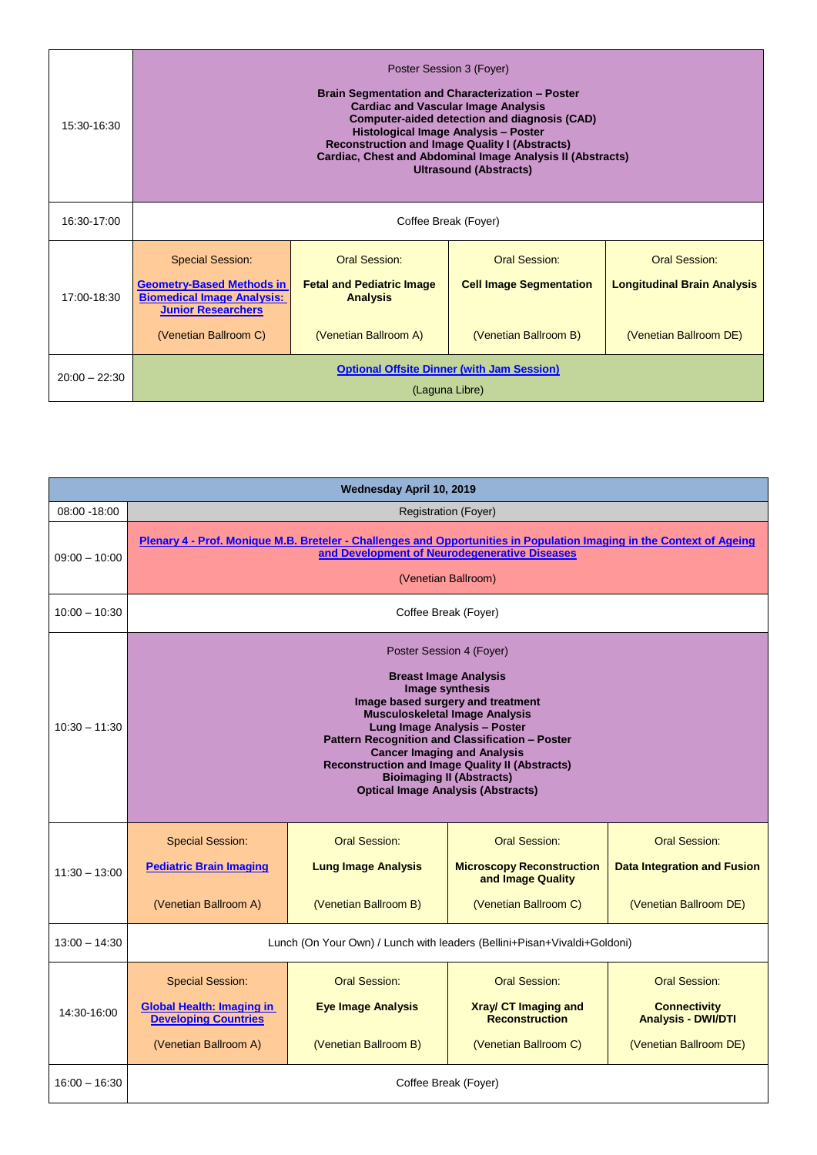| 15:30-16:30     | Poster Session 3 (Foyer)<br><b>Brain Segmentation and Characterization - Poster</b><br><b>Cardiac and Vascular Image Analysis</b><br><b>Computer-aided detection and diagnosis (CAD)</b><br>Histological Image Analysis - Poster<br><b>Reconstruction and Image Quality I (Abstracts)</b><br>Cardiac, Chest and Abdominal Image Analysis II (Abstracts)<br><b>Ultrasound (Abstracts)</b>                                           |  |  |  |  |  |  |  |  |  |
|-----------------|------------------------------------------------------------------------------------------------------------------------------------------------------------------------------------------------------------------------------------------------------------------------------------------------------------------------------------------------------------------------------------------------------------------------------------|--|--|--|--|--|--|--|--|--|
| 16:30-17:00     | Coffee Break (Foyer)                                                                                                                                                                                                                                                                                                                                                                                                               |  |  |  |  |  |  |  |  |  |
| 17:00-18:30     | <b>Oral Session:</b><br>Oral Session:<br><b>Special Session:</b><br><b>Oral Session:</b><br><b>Geometry-Based Methods in</b><br><b>Cell Image Segmentation</b><br><b>Longitudinal Brain Analysis</b><br><b>Fetal and Pediatric Image</b><br><b>Biomedical Image Analysis:</b><br><b>Analysis</b><br><b>Junior Researchers</b><br>(Venetian Ballroom C)<br>(Venetian Ballroom A)<br>(Venetian Ballroom B)<br>(Venetian Ballroom DE) |  |  |  |  |  |  |  |  |  |
| $20:00 - 22:30$ | <b>Optional Offsite Dinner (with Jam Session)</b><br>(Laguna Libre)                                                                                                                                                                                                                                                                                                                                                                |  |  |  |  |  |  |  |  |  |

| Wednesday April 10, 2019 |                                                                                                                                                                                                                                                                                                                                                                                                                               |                                                                          |                                                                                                 |                                                                               |  |  |  |  |  |  |
|--------------------------|-------------------------------------------------------------------------------------------------------------------------------------------------------------------------------------------------------------------------------------------------------------------------------------------------------------------------------------------------------------------------------------------------------------------------------|--------------------------------------------------------------------------|-------------------------------------------------------------------------------------------------|-------------------------------------------------------------------------------|--|--|--|--|--|--|
| 08:00 - 18:00            |                                                                                                                                                                                                                                                                                                                                                                                                                               | <b>Registration (Foyer)</b>                                              |                                                                                                 |                                                                               |  |  |  |  |  |  |
| $09:00 - 10:00$          | Plenary 4 - Prof. Monique M.B. Breteler - Challenges and Opportunities in Population Imaging in the Context of Ageing<br>and Development of Neurodegenerative Diseases<br>(Venetian Ballroom)                                                                                                                                                                                                                                 |                                                                          |                                                                                                 |                                                                               |  |  |  |  |  |  |
| $10:00 - 10:30$          | Coffee Break (Foyer)                                                                                                                                                                                                                                                                                                                                                                                                          |                                                                          |                                                                                                 |                                                                               |  |  |  |  |  |  |
| $10:30 - 11:30$          | Poster Session 4 (Foyer)<br><b>Breast Image Analysis</b><br>Image synthesis<br>Image based surgery and treatment<br><b>Musculoskeletal Image Analysis</b><br>Lung Image Analysis - Poster<br>Pattern Recognition and Classification - Poster<br><b>Cancer Imaging and Analysis</b><br><b>Reconstruction and Image Quality II (Abstracts)</b><br><b>Bioimaging II (Abstracts)</b><br><b>Optical Image Analysis (Abstracts)</b> |                                                                          |                                                                                                 |                                                                               |  |  |  |  |  |  |
| $11:30 - 13:00$          | <b>Special Session:</b><br><b>Pediatric Brain Imaging</b><br>(Venetian Ballroom A)                                                                                                                                                                                                                                                                                                                                            | Oral Session:<br><b>Lung Image Analysis</b><br>(Venetian Ballroom B)     | Oral Session:<br><b>Microscopy Reconstruction</b><br>and Image Quality<br>(Venetian Ballroom C) | Oral Session:<br><b>Data Integration and Fusion</b><br>(Venetian Ballroom DE) |  |  |  |  |  |  |
| $13:00 - 14:30$          |                                                                                                                                                                                                                                                                                                                                                                                                                               | Lunch (On Your Own) / Lunch with leaders (Bellini+Pisan+Vivaldi+Goldoni) |                                                                                                 |                                                                               |  |  |  |  |  |  |
| 14:30-16:00              | <b>Oral Session:</b><br><b>Oral Session:</b><br><b>Special Session:</b><br><b>Oral Session:</b><br><b>Global Health: Imaging in</b><br><b>Eye Image Analysis</b><br><b>Xray/ CT Imaging and</b><br><b>Connectivity</b><br><b>Developing Countries</b><br><b>Reconstruction</b><br><b>Analysis - DWI/DTI</b><br>(Venetian Ballroom A)<br>(Venetian Ballroom B)<br>(Venetian Ballroom C)<br>(Venetian Ballroom DE)              |                                                                          |                                                                                                 |                                                                               |  |  |  |  |  |  |
| $16:00 - 16:30$          | Coffee Break (Foyer)                                                                                                                                                                                                                                                                                                                                                                                                          |                                                                          |                                                                                                 |                                                                               |  |  |  |  |  |  |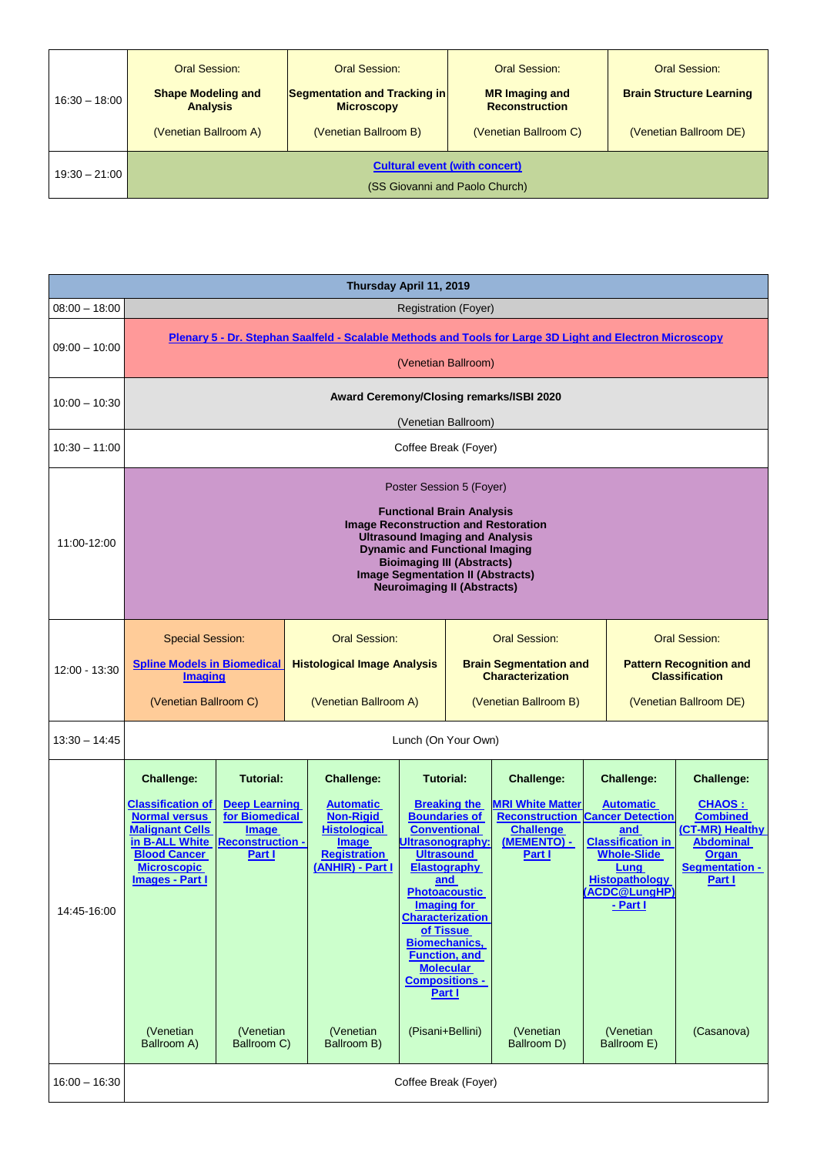|                 | Oral Session:                                                          | Oral Session:                                     | Oral Session:                                  | Oral Session:                   |  |  |  |  |
|-----------------|------------------------------------------------------------------------|---------------------------------------------------|------------------------------------------------|---------------------------------|--|--|--|--|
| $16:30 - 18:00$ | <b>Shape Modeling and</b><br><b>Analysis</b>                           | Segmentation and Tracking in<br><b>Microscopy</b> | <b>MR</b> Imaging and<br><b>Reconstruction</b> | <b>Brain Structure Learning</b> |  |  |  |  |
|                 | (Venetian Ballroom A)                                                  | (Venetian Ballroom B)                             | (Venetian Ballroom C)                          | (Venetian Ballroom DE)          |  |  |  |  |
| $19:30 - 21:00$ | <b>Cultural event (with concert)</b><br>(SS Giovanni and Paolo Church) |                                                   |                                                |                                 |  |  |  |  |

| Thursday April 11, 2019 |                                                                                                                                                                                                                                                                                                                       |                                                                                                                 |                                                                                                                                             |                      |                                                                                                                                                                                                                                                                                                                                 |                                                                                                                                     |                                                                                                           |                                                                                                                                                                     |                                                                                                                                          |
|-------------------------|-----------------------------------------------------------------------------------------------------------------------------------------------------------------------------------------------------------------------------------------------------------------------------------------------------------------------|-----------------------------------------------------------------------------------------------------------------|---------------------------------------------------------------------------------------------------------------------------------------------|----------------------|---------------------------------------------------------------------------------------------------------------------------------------------------------------------------------------------------------------------------------------------------------------------------------------------------------------------------------|-------------------------------------------------------------------------------------------------------------------------------------|-----------------------------------------------------------------------------------------------------------|---------------------------------------------------------------------------------------------------------------------------------------------------------------------|------------------------------------------------------------------------------------------------------------------------------------------|
| $08:00 - 18:00$         |                                                                                                                                                                                                                                                                                                                       | <b>Registration (Foyer)</b>                                                                                     |                                                                                                                                             |                      |                                                                                                                                                                                                                                                                                                                                 |                                                                                                                                     |                                                                                                           |                                                                                                                                                                     |                                                                                                                                          |
| $09:00 - 10:00$         | Plenary 5 - Dr. Stephan Saalfeld - Scalable Methods and Tools for Large 3D Light and Electron Microscopy<br>(Venetian Ballroom)                                                                                                                                                                                       |                                                                                                                 |                                                                                                                                             |                      |                                                                                                                                                                                                                                                                                                                                 |                                                                                                                                     |                                                                                                           |                                                                                                                                                                     |                                                                                                                                          |
| $10:00 - 10:30$         |                                                                                                                                                                                                                                                                                                                       |                                                                                                                 |                                                                                                                                             |                      |                                                                                                                                                                                                                                                                                                                                 | Award Ceremony/Closing remarks/ISBI 2020                                                                                            |                                                                                                           |                                                                                                                                                                     |                                                                                                                                          |
|                         |                                                                                                                                                                                                                                                                                                                       |                                                                                                                 |                                                                                                                                             | (Venetian Ballroom)  |                                                                                                                                                                                                                                                                                                                                 |                                                                                                                                     |                                                                                                           |                                                                                                                                                                     |                                                                                                                                          |
| $10:30 - 11:00$         |                                                                                                                                                                                                                                                                                                                       |                                                                                                                 |                                                                                                                                             | Coffee Break (Foyer) |                                                                                                                                                                                                                                                                                                                                 |                                                                                                                                     |                                                                                                           |                                                                                                                                                                     |                                                                                                                                          |
| 11:00-12:00             | Poster Session 5 (Foyer)<br><b>Functional Brain Analysis</b><br><b>Image Reconstruction and Restoration</b><br><b>Ultrasound Imaging and Analysis</b><br><b>Dynamic and Functional Imaging</b><br><b>Bioimaging III (Abstracts)</b><br><b>Image Segmentation II (Abstracts)</b><br><b>Neuroimaging II (Abstracts)</b> |                                                                                                                 |                                                                                                                                             |                      |                                                                                                                                                                                                                                                                                                                                 |                                                                                                                                     |                                                                                                           |                                                                                                                                                                     |                                                                                                                                          |
| 12:00 - 13:30           | <b>Special Session:</b><br><b>Spline Models in Biomedical</b><br><b>Imaging</b><br>(Venetian Ballroom C)                                                                                                                                                                                                              |                                                                                                                 | <b>Oral Session:</b><br><b>Histological Image Analysis</b><br>(Venetian Ballroom A)                                                         |                      | <b>Oral Session:</b><br><b>Brain Segmentation and</b><br><b>Characterization</b><br>(Venetian Ballroom B)                                                                                                                                                                                                                       |                                                                                                                                     | <b>Oral Session:</b><br><b>Pattern Recognition and</b><br><b>Classification</b><br>(Venetian Ballroom DE) |                                                                                                                                                                     |                                                                                                                                          |
| $13:30 - 14:45$         |                                                                                                                                                                                                                                                                                                                       |                                                                                                                 |                                                                                                                                             | Lunch (On Your Own)  |                                                                                                                                                                                                                                                                                                                                 |                                                                                                                                     |                                                                                                           |                                                                                                                                                                     |                                                                                                                                          |
| 14:45 16:00             | <b>Challenge:</b><br><b>Classification of</b><br><b>Normal versus</b><br><b>Malignant Cells</b><br>in B-ALL White<br><b>Blood Cancer</b><br><b>Microscopic</b><br><b>Images - Part I</b>                                                                                                                              | <b>Tutorial:</b><br><b>Deep Learning</b><br>for Biomedical<br><b>Image</b><br><b>Reconstruction -</b><br>Part I | <b>Challenge:</b><br><b>Automatic</b><br><b>Non-Rigid</b><br><b>Histological</b><br><b>Image</b><br><b>Registration</b><br>(ANHIR) - Part I | Ultrasonography:     | Tutorial:<br><b>Breaking the</b><br><b>Boundaries of</b><br><b>Conventional</b><br><b>Ultrasound</b><br><b>Elastography</b><br>and<br><b>Photoacoustic</b><br><b>Imaging for</b><br><b>Characterization</b><br>of Tissue<br><b>Biomechanics,</b><br><b>Function, and</b><br><b>Molecular</b><br><b>Compositions -</b><br>Part I | <b>Challenge:</b><br><b>MRI White Matter</b><br><b>Reconstruction Cancer Detection</b><br><b>Challenge</b><br>(MEMENTO) -<br>Part I |                                                                                                           | <b>Challenge:</b><br><b>Automatic</b><br>and<br><b>Classification in</b><br><b>Whole-Slide</b><br>Lung<br><b>Histopathology</b><br><u>(ACDC@LungHP)</u><br>- Part I | <b>Challenge:</b><br><b>CHAOS:</b><br><b>Combined</b><br>(CT-MR) Healthy<br><b>Abdominal</b><br><b>Organ</b><br>Segmentation -<br>Part I |
|                         | (Venetian<br>Ballroom A)                                                                                                                                                                                                                                                                                              | (Venetian<br>Ballroom C)                                                                                        | (Venetian<br>Ballroom B)                                                                                                                    | (Pisani+Bellini)     |                                                                                                                                                                                                                                                                                                                                 | (Venetian<br>Ballroom D)                                                                                                            |                                                                                                           | (Venetian<br>Ballroom E)                                                                                                                                            | (Casanova)                                                                                                                               |
| $16:00 - 16:30$         | Coffee Break (Foyer)                                                                                                                                                                                                                                                                                                  |                                                                                                                 |                                                                                                                                             |                      |                                                                                                                                                                                                                                                                                                                                 |                                                                                                                                     |                                                                                                           |                                                                                                                                                                     |                                                                                                                                          |